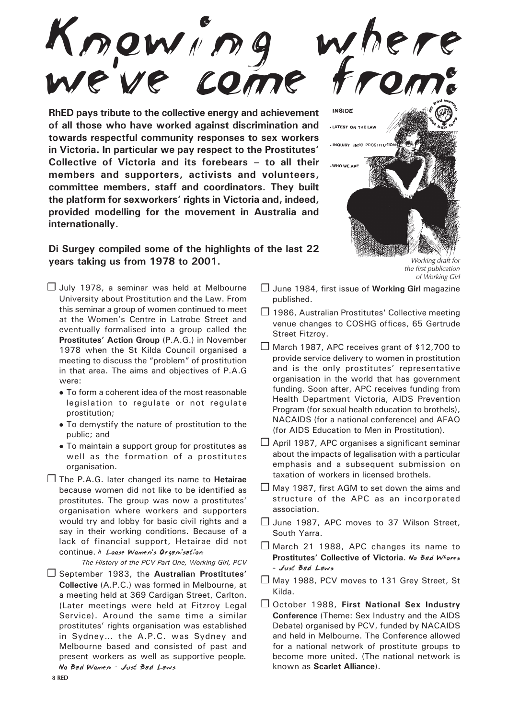Knowing where we 've come from:

**RhED pays tribute to the collective energy and achievement of all those who have worked against discrimination and towards respectful community responses to sex workers in Victoria. In particular we pay respect to the Prostitutes' Collective of Victoria and its forebears – to all their members and supporters, activists and volunteers, committee members, staff and coordinators. They built the platform for sexworkers' rights in Victoria and, indeed, provided modelling for the movement in Australia and internationally.**

## **Di Surgey compiled some of the highlights of the last 22 years taking us from 1978 to 2001.** Working draft for

- ❒ July 1978, a seminar was held at Melbourne University about Prostitution and the Law. From this seminar a group of women continued to meet at the Women's Centre in Latrobe Street and eventually formalised into a group called the **Prostitutes' Action Group** (P.A.G.) in November 1978 when the St Kilda Council organised a meeting to discuss the "problem" of prostitution in that area. The aims and objectives of P.A.G were:
	- To form a coherent idea of the most reasonable legislation to regulate or not regulate prostitution;
	- To demystify the nature of prostitution to the public; and
	- To maintain a support group for prostitutes as well as the formation of a prostitutes organisation.
- ❒ The P.A.G. later changed its name to **Hetairae** because women did not like to be identified as prostitutes. The group was now a prostitutes' organisation where workers and supporters would try and lobby for basic civil rights and a say in their working conditions. Because of a lack of financial support, Hetairae did not continue. A Loose Women's Organisation

*The History of the PCV Part One, Working Girl, PCV*

❒ September 1983, the **Australian Prostitutes' Collective** (A.P.C.) was formed in Melbourne, at a meeting held at 369 Cardigan Street, Carlton. (Later meetings were held at Fitzroy Legal Service). Around the same time a similar prostitutes' rights organisation was established in Sydney… the A.P.C. was Sydney and Melbourne based and consisted of past and present workers as well as supportive people*.* No Bad Women - Just Bad Laws



the first publication of Working Girl

- ❒ June 1984, first issue of **Working Girl** magazine published.
- ❒ 1986, Australian Prostitutes' Collective meeting venue changes to COSHG offices, 65 Gertrude Street Fitzroy.
- ❒ March 1987, APC receives grant of \$12,700 to provide service delivery to women in prostitution and is the only prostitutes' representative organisation in the world that has government funding. Soon after, APC receives funding from Health Department Victoria, AIDS Prevention Program (for sexual health education to brothels), NACAIDS (for a national conference) and AFAO (for AIDS Education to Men in Prostitution).
- ❒ April 1987, APC organises a significant seminar about the impacts of legalisation with a particular emphasis and a subsequent submission on taxation of workers in licensed brothels.
- ❒ May 1987, first AGM to set down the aims and structure of the APC as an incorporated association.
- ❒ June 1987, APC moves to 37 Wilson Street, South Yarra.
- ❒ March 21 1988, APC changes its name to **Prostitutes' Collective of Victoria**. No Bad Whores – Just Bad Laws
- ❒ May 1988, PCV moves to 131 Grey Street, St Kilda.
- ❒ October 1988, **First National Sex Industry Conference** (Theme: Sex Industry and the AIDS Debate) organised by PCV, funded by NACAIDS and held in Melbourne. The Conference allowed for a national network of prostitute groups to become more united. (The national network is known as **Scarlet Alliance**).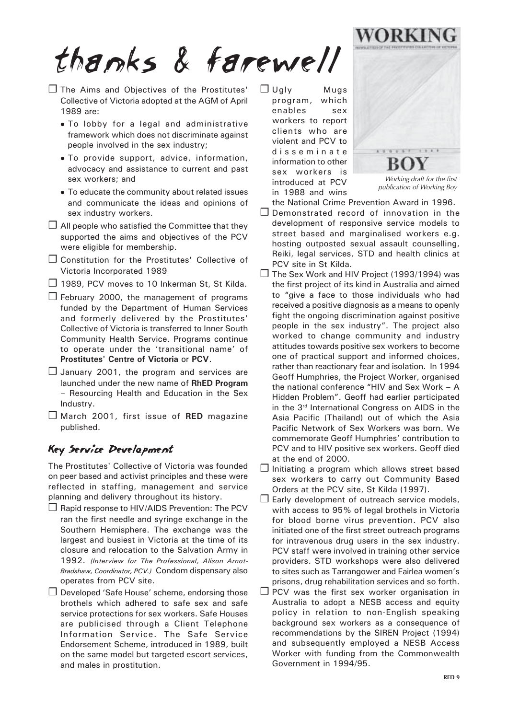thanks & farewell

- ❒ The Aims and Objectives of the Prostitutes' Collective of Victoria adopted at the AGM of April 1989 are:
	- To lobby for a legal and administrative framework which does not discriminate against people involved in the sex industry;
	- To provide support, advice, information, advocacy and assistance to current and past sex workers; and
	- To educate the community about related issues and communicate the ideas and opinions of sex industry workers.
- $\Box$  All people who satisfied the Committee that they supported the aims and objectives of the PCV were eligible for membership.
- ❒ Constitution for the Prostitutes' Collective of Victoria Incorporated 1989
- ❒ 1989, PCV moves to 10 Inkerman St, St Kilda.
- $\Box$  February 2000, the management of programs funded by the Department of Human Services and formerly delivered by the Prostitutes' Collective of Victoria is transferred to Inner South Community Health Service. Programs continue to operate under the 'transitional name' of **Prostitutes' Centre of Victoria** or **PCV**.
- ❒ January 2001, the program and services are launched under the new name of **RhED Program** – Resourcing Health and Education in the Sex Industry.
- ❒ March 2001, first issue of **RED** magazine published.

## Key Service Development

The Prostitutes' Collective of Victoria was founded on peer based and activist principles and these were reflected in staffing, management and service planning and delivery throughout its history.

- ❒ Rapid response to HIV/AIDS Prevention: The PCV ran the first needle and syringe exchange in the Southern Hemisphere. The exchange was the largest and busiest in Victoria at the time of its closure and relocation to the Salvation Army in 1992. *(Interview for The Professional, Alison Arnot-Bradshaw, Coordinator, PCV.)* Condom dispensary also operates from PCV site.
- ❒ Developed 'Safe House' scheme, endorsing those brothels which adhered to safe sex and safe service protections for sex workers. Safe Houses are publicised through a Client Telephone Information Service. The Safe Service Endorsement Scheme, introduced in 1989, built on the same model but targeted escort services, and males in prostitution.

❒ Ugly Mugs program, which enables sex workers to report clients who are violent and PCV to disseminate information to other sex workers is introduced at PCV in 1988 and wins



Working draft for the first publication of Working Boy

the National Crime Prevention Award in 1996.

- ❒ Demonstrated record of innovation in the development of responsive service models to street based and marginalised workers e.g. hosting outposted sexual assault counselling, Reiki, legal services, STD and health clinics at PCV site in St Kilda.
- ❒ The Sex Work and HIV Project (1993/1994) was the first project of its kind in Australia and aimed to "give a face to those individuals who had received a positive diagnosis as a means to openly fight the ongoing discrimination against positive people in the sex industry". The project also worked to change community and industry attitudes towards positive sex workers to become one of practical support and informed choices, rather than reactionary fear and isolation. In 1994 Geoff Humphries, the Project Worker, organised the national conference "HIV and Sex Work – A Hidden Problem". Geoff had earlier participated in the 3rd International Congress on AIDS in the Asia Pacific (Thailand) out of which the Asia Pacific Network of Sex Workers was born. We commemorate Geoff Humphries' contribution to PCV and to HIV positive sex workers. Geoff died at the end of 2000.
- ❒ Initiating a program which allows street based sex workers to carry out Community Based Orders at the PCV site, St Kilda (1997).
- $\Box$  Early development of outreach service models, with access to 95% of legal brothels in Victoria for blood borne virus prevention. PCV also initiated one of the first street outreach programs for intravenous drug users in the sex industry. PCV staff were involved in training other service providers. STD workshops were also delivered to sites such as Tarrangower and Fairlea women's prisons, drug rehabilitation services and so forth.
- ❒ PCV was the first sex worker organisation in Australia to adopt a NESB access and equity policy in relation to non-English speaking background sex workers as a consequence of recommendations by the SIREN Project (1994) and subsequently employed a NESB Access Worker with funding from the Commonwealth Government in 1994/95.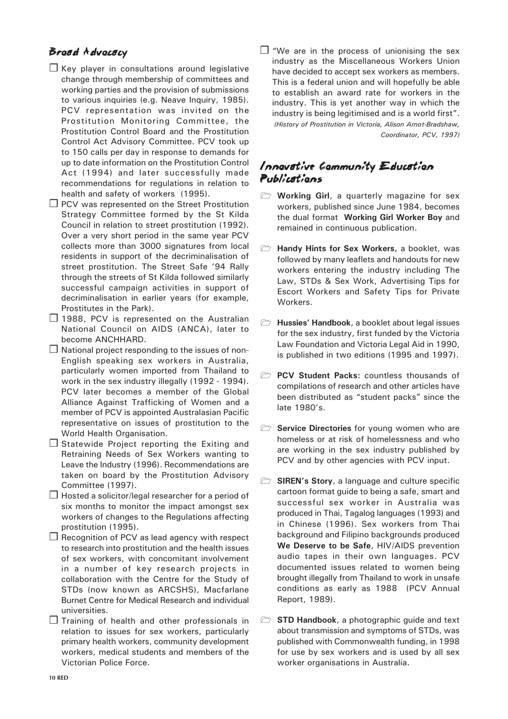## Broad Advocacy

- ❒ Key player in consultations around legislative change through membership of committees and working parties and the provision of submissions to various inquiries (e.g. Neave Inquiry, 1985). PCV representation was invited on the Prostitution Monitoring Committee, the Prostitution Control Board and the Prostitution Control Act Advisory Committee. PCV took up to 150 calls per day in response to demands for up to date information on the Prostitution Control Act (1994) and later successfully made recommendations for regulations in relation to health and safety of workers (1995).
- ❒ PCV was represented on the Street Prostitution Strategy Committee formed by the St Kilda Council in relation to street prostitution (1992). Over a very short period in the same year PCV collects more than 3000 signatures from local residents in support of the decriminalisation of street prostitution. The Street Safe '94 Rally through the streets of St Kilda followed similarly successful campaign activities in support of decriminalisation in earlier years (for example, Prostitutes in the Park).
- ❒ 1988, PCV is represented on the Australian National Council on AIDS (ANCA), later to become ANCHHARD.
- ❒ National project responding to the issues of non-English speaking sex workers in Australia, particularly women imported from Thailand to work in the sex industry illegally (1992 - 1994). PCV later becomes a member of the Global Alliance Against Trafficking of Women and a member of PCV is appointed Australasian Pacific representative on issues of prostitution to the World Health Organisation.
- ❒ Statewide Project reporting the Exiting and Retraining Needs of Sex Workers wanting to Leave the Industry (1996). Recommendations are taken on board by the Prostitution Advisory Committee (1997).
- ❒ Hosted a solicitor/legal researcher for a period of six months to monitor the impact amongst sex workers of changes to the Regulations affecting prostitution (1995).
- ❒ Recognition of PCV as lead agency with respect to research into prostitution and the health issues of sex workers, with concomitant involvement in a number of key research projects in collaboration with the Centre for the Study of STDs (now known as ARCSHS), Macfarlane Burnet Centre for Medical Research and individual universities.
- ❒ Training of health and other professionals in relation to issues for sex workers, particularly primary health workers, community development workers, medical students and members of the Victorian Police Force.

❒ "We are in the process of unionising the sex industry as the Miscellaneous Workers Union have decided to accept sex workers as members. This is a federal union and will hopefully be able to establish an award rate for workers in the industry. This is yet another way in which the industry is being legitimised and is a world first". *(History of Prostitution in Victoria, Alison Arnot-Bradshaw, Coordinator, PCV, 1997)*

## Innovative Community Education Publications

- **Working Girl**, a quarterly magazine for sex workers, published since June 1984, becomes the dual format **Working Girl Worker Boy** and remained in continuous publication.
- **Handy Hints for Sex Workers, a booklet, was** followed by many leaflets and handouts for new workers entering the industry including The Law, STDs & Sex Work, Advertising Tips for Escort Workers and Safety Tips for Private Workers.
- **Hussies' Handbook**, a booklet about legal issues for the sex industry, first funded by the Victoria Law Foundation and Victoria Legal Aid in 1990, is published in two editions (1995 and 1997).
- **PCV Student Packs:** countless thousands of compilations of research and other articles have been distributed as "student packs" since the late 1980's.
- **Service Directories** for young women who are homeless or at risk of homelessness and who are working in the sex industry published by PCV and by other agencies with PCV input.
- **SIREN's Story, a language and culture specific** cartoon format guide to being a safe, smart and successful sex worker in Australia was produced in Thai, Tagalog languages (1993) and in Chinese (1996). Sex workers from Thai background and Filipino backgrounds produced **We Deserve to be Safe**, HIV/AIDS prevention audio tapes in their own languages. PCV documented issues related to women being brought illegally from Thailand to work in unsafe conditions as early as 1988 (PCV Annual Report, 1989).
- **STD Handbook**, a photographic guide and text about transmission and symptoms of STDs, was published with Commonwealth funding, in 1998 for use by sex workers and is used by all sex worker organisations in Australia.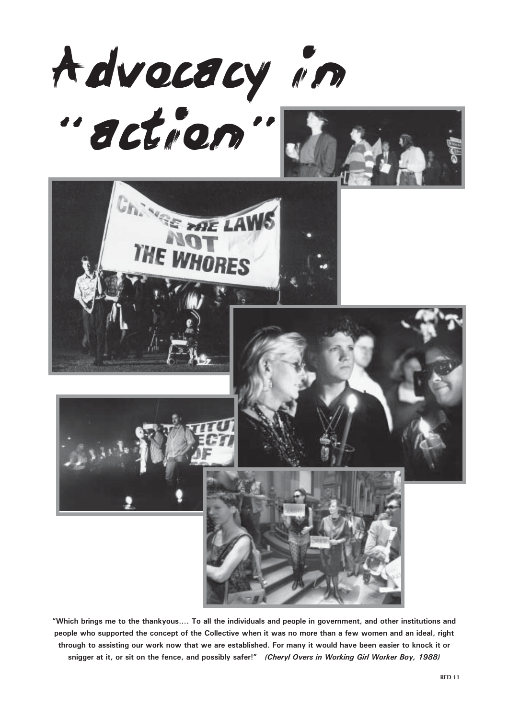

**"Which brings me to the thankyous…. To all the individuals and people in government, and other institutions and people who supported the concept of the Collective when it was no more than a few women and an ideal, right through to assisting our work now that we are established. For many it would have been easier to knock it or snigger at it, or sit on the fence, and possibly safer!"** *(Cheryl Overs in Working Girl Worker Boy, 1988)*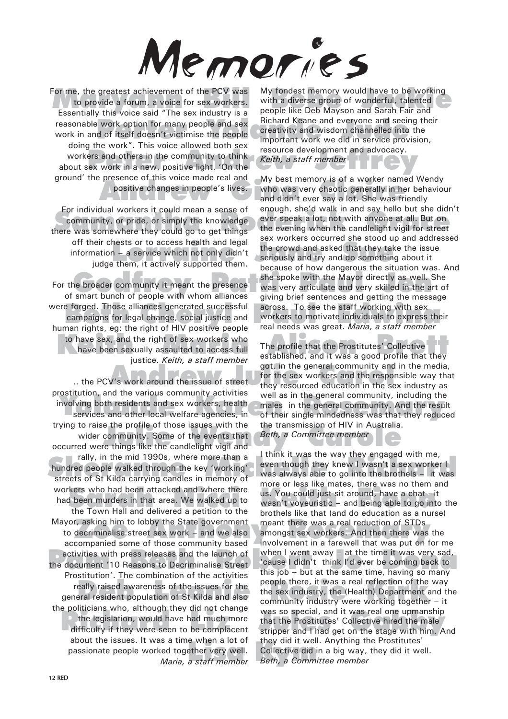

For me, the greatest achievement of the PCV was<br>to provide a forum, a voice for sex workers. With a diverse group of wonderful, talented<br>Essentially this voice said "The sex industry is a second like Deb Mayson and Sarah F workers and others in the community to think<br>workers and others in the community to think<br>wout sex work in a new, positive light. 'On the to provide a forum, a voice for sex workers. Essentially this voice said "The sex industry is a reasonable work option for many people and sex work in and of itself doesn't victimise the people doing the work". This voice allowed both sex about sex work in a new, positive light. 'On the ground' the presence of this voice made real and

For individual workers it could mean a sense of enough, she d waik in and say hello but she did.<br>
community, or pride, or simply the knowledge ever speak a lot, not with anyone at all. But on<br>
the evening when the candleli For individual workers it could mean a sense of community, or pride, or simply the knowledge there was somewhere they could go to get things off their chests or to access health and legal information – a service which not only didn't judge them, it actively supported them.

e forged. Those alliances generated successful<br>
campaigns for legal change, social justice and<br>
man rights on: the right of HIV positive people aread needs was great *Maria a staff member* to have sex, and the right of sex workers who<br>have been sexually assaulted to access full the profile that the Prostitutes' Collective<br>established, and it was a good profile that they For the broader community it meant the presence of smart bunch of people with whom alliances were forged. Those alliances generated successful human rights, eg: the right of HIV positive people have been sexually assaulted to access full justice. *Keith, a staff member*

ostitution, and the various community activities well as in the general community, including the<br>ivolving both residents and sex workers, health males in the general community. And the resur-<br>services and other local welfa If ying to raise the profile of those issues with the the transmission of HIV in Australia.<br>
wider community. Some of the events that Beth, a Committee member<br>
occurred were things like the candlelight vigil and rally, in the mid 1990s, where more than a<br>hundred people walked through the key 'working' even though they knew I wasn't a sex worker I<br>streets of St Kilda carrying candles in memory of kers who had been attacked and where there<br>
theen murders in that area. We walked up to<br>
the Town Hall and delivered a petition to the<br>
the Town Hall and delivered a petition to the<br>
the test (and de education as a pure yor, asking him to lobby the State government meant there was a real reduction of STDs<br>to decriminalise street sex work – and we also amongst sex workers. And then there was activities with press releases and the launch of when I went away – at the time it was very sad,<br>the document '10 Reasons to Decriminalise Street cause I didn't think I'd ever be coming back to Frequences in the computation of the sections of the people there, it was a real reflection of the really raised awareness of the issues for the the sex industry, the (Health) Department dependent population of St Kilda an e pointclaris wito, antiough they did not change<br>the legislation, would have had much more<br>difficulty if they were seen to be complacent<br>difficulty if they were seen to be complacent<br>stripper and I had get on the stage wit e when a lot of they did it well<br>ether very well. Collective did i<br>a staff member Beth, a Commi prostitution, and the various community activities involving both residents and sex workers, health trying to raise the profile of those issues with the wider community. Some of the events that rally, in the mid 1990s, where more than a hundred people walked through the key 'working' streets of St Kilda carrying candles in memory of workers who had been attacked and where there had been murders in that area. We walked up to the Town Hall and delivered a petition to the Mayor, asking him to lobby the State government accompanied some of those community based activities with press releases and the launch of Prostitution'. The combination of the activities really raised awareness of the issues for the the politicians who, although they did not change the legislation, would have had much more difficulty if they were seen to be complacent about the issues. It was a time when a lot of passionate people worked together very well. *Maria, a staff member*

work option for many people and sex<br>d of itself doesn't victimise the people<br>he weak". This wise allowed bath as important work we did in service provision, My fondest memory would have to be working with a diverse group of wonderful, talented people like Deb Mayson and Sarah Fair and Richard Keane and everyone and seeing their creativity and wisdom channelled into the resource development and advocacy. *Keith, a staff member*

presence of this voice made real and My best memory is of a worker name<br>positive changes in people's lives. Who was very chaotic generally in he<br>and didn't ever say a lot. She was fr hests or to access health and legal<br>n – a service which not only didn't<br>the crowd and asked that they take the issue<br>them, it actively supported them. She spoke with the Mayor directly as well.<br>She spoke with the Mayor directly as well.<br>She spoke with the Mayor directly as well.<br>She spoke with the Mayor directly as well. My best memory is of a worker named Wendy who was very chaotic generally in her behaviour and didn't ever say a lot. She was friendly enough, she'd walk in and say hello but she didn't the evening when the candlelight vigil for street sex workers occurred she stood up and addressed seriously and try and do something about it because of how dangerous the situation was. And she spoke with the Mayor directly as well. She was very articulate and very skilled in the art of giving brief sentences and getting the message across. To see the staff working with sex workers to motivate individuals to express their real needs was great. *Maria, a staff member*

and the sex workers and the response the PCV's work around the issue of street<br>they resourced education in the sext the sexual the response they resourced education in the sexual the sexual the sexual the sexual the sexual The profile that the Prostitutes' Collective established, and it was a good profile that they got, in the general community and in the media, for the sex workers and the responsible way that they resourced education in the sex industry as well as in the general community, including the males in the general community. And the result of their single mindedness was that they reduced the transmission of HIV in Australia. *Beth, a Committee member*

> I think it was the way they engaged with me, even though they knew I wasn't a sex worker I was always able to go into the brothels – it was more or less like mates, there was no them and wasn't voyeuristic – and being able to go into the brothels like that (and do education as a nurse) meant there was a real reduction of STDs amongst sex workers. And then there was the involvement in a farewell that was put on for me when I went away – at the time it was very sad, 'cause I didn't think I'd ever be coming back to this job – but at the same time, having so many people there, it was a real reflection of the way the sex industry, the (Health) Department and the community industry were working together – it was so special, and it was real one upmanship that the Prostitutes' Collective hired the male stripper and I had get on the stage with him. And they did it well. Anything the Prostitutes' Collective did in a big way, they did it well. *Beth, a Committee member*